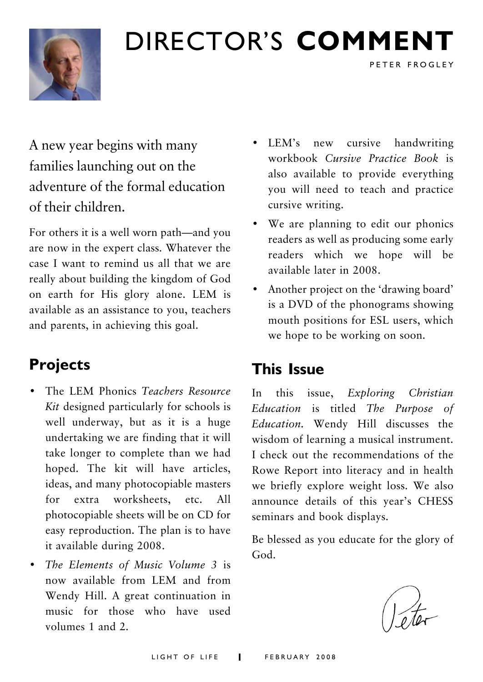

## DIRECTOR'S **COMMENT**

A new year begins with many families launching out on the adventure of the formal education of their children.

For others it is a well worn path—and you are now in the expert class. Whatever the case I want to remind us all that we are really about building the kingdom of God on earth for His glory alone. LEM is available as an assistance to you, teachers and parents, in achieving this goal.

### **Projects**

- The LEM Phonics *Teachers Resource Kit* designed particularly for schools is well underway, but as it is a huge undertaking we are finding that it will take longer to complete than we had hoped. The kit will have articles, ideas, and many photocopiable masters for extra worksheets, etc. All photocopiable sheets will be on CD for easy reproduction. The plan is to have it available during 2008.
- *The Elements of Music Volume 3* is now available from LEM and from Wendy Hill. A great continuation in music for those who have used volumes 1 and 2.

• LEM's new cursive handwriting workbook *Cursive Practice Book* is also available to provide everything you will need to teach and practice cursive writing.

PETER FROGLEY

- We are planning to edit our phonics readers as well as producing some early readers which we hope will be available later in 2008.
- Another project on the 'drawing board' is a DVD of the phonograms showing mouth positions for ESL users, which we hope to be working on soon.

### **This Issue**

In this issue, *Exploring Christian Education* is titled *The Purpose of Education.* Wendy Hill discusses the wisdom of learning a musical instrument. I check out the recommendations of the Rowe Report into literacy and in health we briefly explore weight loss. We also announce details of this year's CHESS seminars and book displays.

Be blessed as you educate for the glory of God.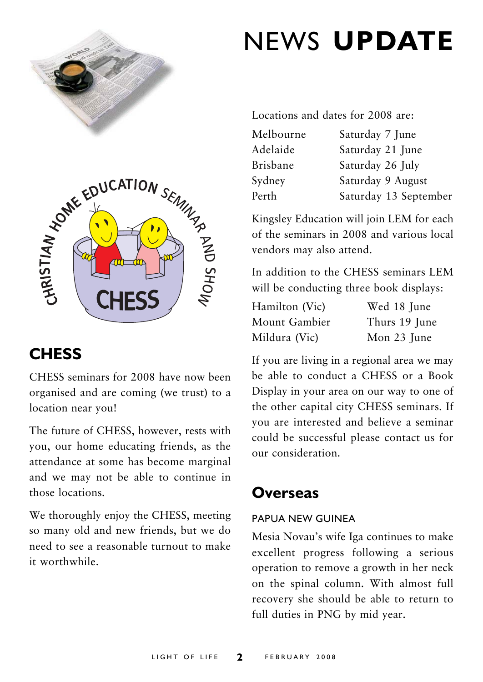



### **CHESS**

CHESS seminars for 2008 have now been organised and are coming (we trust) to a location near you!

The future of CHESS, however, rests with you, our home educating friends, as the attendance at some has become marginal and we may not be able to continue in those locations.

We thoroughly enjoy the CHESS, meeting so many old and new friends, but we do need to see a reasonable turnout to make it worthwhile.

## NEWS **UPDATE**

Locations and dates for 2008 are:

| Melbourne       | Saturday 7 June       |
|-----------------|-----------------------|
| Adelaide        | Saturday 21 June      |
| <b>Brisbane</b> | Saturday 26 July      |
| Sydney          | Saturday 9 August     |
| Perth           | Saturday 13 September |

Kingsley Education will join LEM for each of the seminars in 2008 and various local vendors may also attend.

In addition to the CHESS seminars LEM will be conducting three book displays:

| Hamilton (Vic) | Wed 18 June   |
|----------------|---------------|
| Mount Gambier  | Thurs 19 June |
| Mildura (Vic)  | Mon 23 June   |

If you are living in a regional area we may be able to conduct a CHESS or a Book Display in your area on our way to one of the other capital city CHESS seminars. If you are interested and believe a seminar could be successful please contact us for our consideration.

### **Overseas**

### PAPUA NEW GUINEA

Mesia Novau's wife Iga continues to make excellent progress following a serious operation to remove a growth in her neck on the spinal column. With almost full recovery she should be able to return to full duties in PNG by mid year.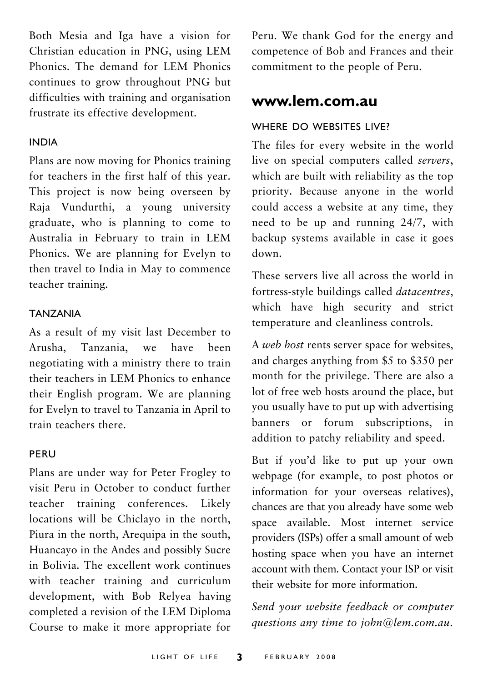Both Mesia and Iga have a vision for Christian education in PNG, using LEM Phonics. The demand for LEM Phonics continues to grow throughout PNG but difficulties with training and organisation frustrate its effective development.

#### INDIA

Plans are now moving for Phonics training for teachers in the first half of this year. This project is now being overseen by Raja Vundurthi, a young university graduate, who is planning to come to Australia in February to train in LEM Phonics. We are planning for Evelyn to then travel to India in May to commence teacher training.

#### TANZANIA

As a result of my visit last December to Arusha, Tanzania, we have been negotiating with a ministry there to train their teachers in LEM Phonics to enhance their English program. We are planning for Evelyn to travel to Tanzania in April to train teachers there.

#### PERU

Plans are under way for Peter Frogley to visit Peru in October to conduct further teacher training conferences. Likely locations will be Chiclayo in the north, Piura in the north, Arequipa in the south, Huancayo in the Andes and possibly Sucre in Bolivia. The excellent work continues with teacher training and curriculum development, with Bob Relyea having completed a revision of the LEM Diploma Course to make it more appropriate for Peru. We thank God for the energy and competence of Bob and Frances and their commitment to the people of Peru.

### **www.lem.com.au**

### WHERE DO WEBSITES LIVE?

The files for every website in the world live on special computers called *servers*, which are built with reliability as the top priority. Because anyone in the world could access a website at any time, they need to be up and running 24/7, with backup systems available in case it goes down.

These servers live all across the world in fortress-style buildings called *datacentres*, which have high security and strict temperature and cleanliness controls.

A *web host* rents server space for websites, and charges anything from \$5 to \$350 per month for the privilege. There are also a lot of free web hosts around the place, but you usually have to put up with advertising banners or forum subscriptions, in addition to patchy reliability and speed.

But if you'd like to put up your own webpage (for example, to post photos or information for your overseas relatives), chances are that you already have some web space available. Most internet service providers (ISPs) offer a small amount of web hosting space when you have an internet account with them. Contact your ISP or visit their website for more information.

*Send your website feedback or computer questions any time to john@lem.com.au*.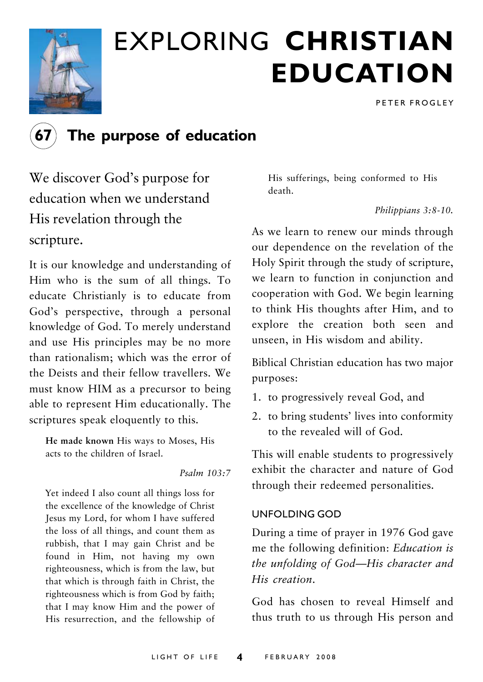

## EXPLORING **CHRISTIAN EDUCATION**

PETER FROGLEY



### **67 The purpose of education**

We discover God's purpose for education when we understand His revelation through the scripture.

It is our knowledge and understanding of Him who is the sum of all things. To educate Christianly is to educate from God's perspective, through a personal knowledge of God. To merely understand and use His principles may be no more than rationalism; which was the error of the Deists and their fellow travellers. We must know HIM as a precursor to being able to represent Him educationally. The scriptures speak eloquently to this.

**He made known** His ways to Moses, His acts to the children of Israel.

*Psalm 103:7*

Yet indeed I also count all things loss for the excellence of the knowledge of Christ Jesus my Lord, for whom I have suffered the loss of all things, and count them as rubbish, that I may gain Christ and be found in Him, not having my own righteousness, which is from the law, but that which is through faith in Christ, the righteousness which is from God by faith; that I may know Him and the power of His resurrection, and the fellowship of His sufferings, being conformed to His death.

*Philippians 3:8-10.*

As we learn to renew our minds through our dependence on the revelation of the Holy Spirit through the study of scripture, we learn to function in conjunction and cooperation with God. We begin learning to think His thoughts after Him, and to explore the creation both seen and unseen, in His wisdom and ability.

Biblical Christian education has two major purposes:

- 1. to progressively reveal God, and
- 2. to bring students' lives into conformity to the revealed will of God.

This will enable students to progressively exhibit the character and nature of God through their redeemed personalities.

### UNFOLDING GOD

During a time of prayer in 1976 God gave me the following definition: *Education is the unfolding of God—His character and His creation*.

God has chosen to reveal Himself and thus truth to us through His person and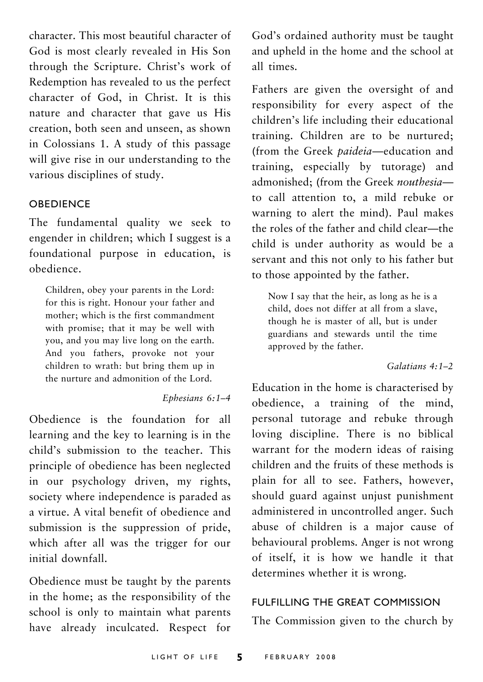character. This most beautiful character of God is most clearly revealed in His Son through the Scripture. Christ's work of Redemption has revealed to us the perfect character of God, in Christ. It is this nature and character that gave us His creation, both seen and unseen, as shown in Colossians 1. A study of this passage will give rise in our understanding to the various disciplines of study.

#### **OBEDIENCE**

The fundamental quality we seek to engender in children; which I suggest is a foundational purpose in education, is obedience.

Children, obey your parents in the Lord: for this is right. Honour your father and mother; which is the first commandment with promise; that it may be well with you, and you may live long on the earth. And you fathers, provoke not your children to wrath: but bring them up in the nurture and admonition of the Lord.

#### *Ephesians 6:1–4*

Obedience is the foundation for all learning and the key to learning is in the child's submission to the teacher. This principle of obedience has been neglected in our psychology driven, my rights, society where independence is paraded as a virtue. A vital benefit of obedience and submission is the suppression of pride, which after all was the trigger for our initial downfall.

Obedience must be taught by the parents in the home; as the responsibility of the school is only to maintain what parents have already inculcated. Respect for God's ordained authority must be taught and upheld in the home and the school at all times.

Fathers are given the oversight of and responsibility for every aspect of the children's life including their educational training. Children are to be nurtured; (from the Greek *paideia*—education and training, especially by tutorage) and admonished; (from the Greek *nouthesia* to call attention to, a mild rebuke or warning to alert the mind). Paul makes the roles of the father and child clear—the child is under authority as would be a servant and this not only to his father but to those appointed by the father.

Now I say that the heir, as long as he is a child, does not differ at all from a slave, though he is master of all, but is under guardians and stewards until the time approved by the father.

#### *Galatians 4:1–2*

Education in the home is characterised by obedience, a training of the mind, personal tutorage and rebuke through loving discipline. There is no biblical warrant for the modern ideas of raising children and the fruits of these methods is plain for all to see. Fathers, however, should guard against unjust punishment administered in uncontrolled anger. Such abuse of children is a major cause of behavioural problems. Anger is not wrong of itself, it is how we handle it that determines whether it is wrong.

#### FULFILLING THE GREAT COMMISSION

The Commission given to the church by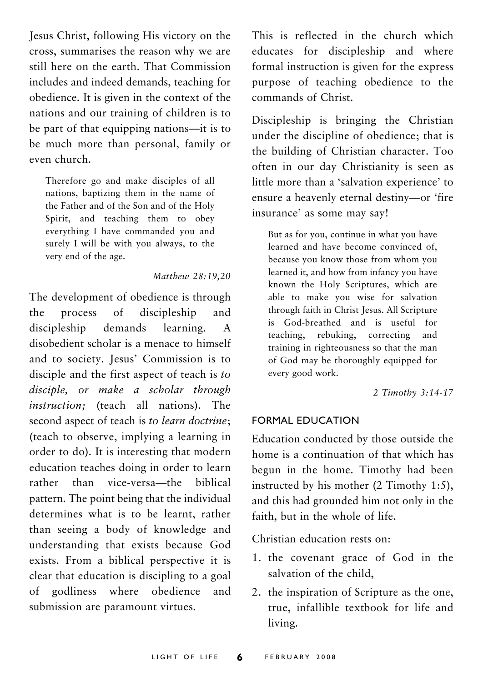Jesus Christ, following His victory on the cross, summarises the reason why we are still here on the earth. That Commission includes and indeed demands, teaching for obedience. It is given in the context of the nations and our training of children is to be part of that equipping nations—it is to be much more than personal, family or even church.

Therefore go and make disciples of all nations, baptizing them in the name of the Father and of the Son and of the Holy Spirit, and teaching them to obey everything I have commanded you and surely I will be with you always, to the very end of the age.

#### *Matthew 28:19,20*

The development of obedience is through the process of discipleship and discipleship demands learning. A disobedient scholar is a menace to himself and to society. Jesus' Commission is to disciple and the first aspect of teach is *to disciple, or make a scholar through instruction;* (teach all nations). The second aspect of teach is *to learn doctrine*; (teach to observe, implying a learning in order to do). It is interesting that modern education teaches doing in order to learn rather than vice-versa—the biblical pattern. The point being that the individual determines what is to be learnt, rather than seeing a body of knowledge and understanding that exists because God exists. From a biblical perspective it is clear that education is discipling to a goal of godliness where obedience and submission are paramount virtues.

This is reflected in the church which educates for discipleship and where formal instruction is given for the express purpose of teaching obedience to the commands of Christ.

Discipleship is bringing the Christian under the discipline of obedience; that is the building of Christian character. Too often in our day Christianity is seen as little more than a 'salvation experience' to ensure a heavenly eternal destiny—or 'fire insurance' as some may say!

But as for you, continue in what you have learned and have become convinced of, because you know those from whom you learned it, and how from infancy you have known the Holy Scriptures, which are able to make you wise for salvation through faith in Christ Jesus. All Scripture is God-breathed and is useful for teaching, rebuking, correcting and training in righteousness so that the man of God may be thoroughly equipped for every good work.

*2 Timothy 3:14-17*

#### FORMAL EDUCATION

Education conducted by those outside the home is a continuation of that which has begun in the home. Timothy had been instructed by his mother (2 Timothy 1:5), and this had grounded him not only in the faith, but in the whole of life.

Christian education rests on:

- 1. the covenant grace of God in the salvation of the child,
- 2. the inspiration of Scripture as the one, true, infallible textbook for life and living.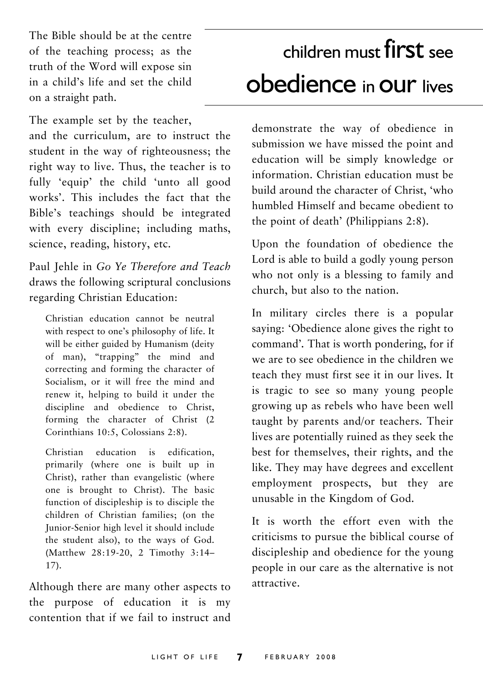The Bible should be at the centre of the teaching process; as the truth of the Word will expose sin in a child's life and set the child on a straight path.

The example set by the teacher, and the curriculum, are to instruct the student in the way of righteousness; the right way to live. Thus, the teacher is to fully 'equip' the child 'unto all good works'. This includes the fact that the Bible's teachings should be integrated with every discipline; including maths, science, reading, history, etc.

Paul Jehle in *Go Ye Therefore and Teach* draws the following scriptural conclusions regarding Christian Education:

Christian education cannot be neutral with respect to one's philosophy of life. It will be either guided by Humanism (deity of man), "trapping" the mind and correcting and forming the character of Socialism, or it will free the mind and renew it, helping to build it under the discipline and obedience to Christ, forming the character of Christ (2 Corinthians 10:5, Colossians 2:8).

Christian education is edification, primarily (where one is built up in Christ), rather than evangelistic (where one is brought to Christ). The basic function of discipleship is to disciple the children of Christian families; (on the Junior-Senior high level it should include the student also), to the ways of God. (Matthew 28:19-20, 2 Timothy 3:14– 17).

Although there are many other aspects to the purpose of education it is my contention that if we fail to instruct and

## children must first see obedience in our lives

demonstrate the way of obedience in submission we have missed the point and education will be simply knowledge or information. Christian education must be build around the character of Christ, 'who humbled Himself and became obedient to the point of death' (Philippians 2:8).

Upon the foundation of obedience the Lord is able to build a godly young person who not only is a blessing to family and church, but also to the nation.

In military circles there is a popular saying: 'Obedience alone gives the right to command'*.* That is worth pondering, for if we are to see obedience in the children we teach they must first see it in our lives. It is tragic to see so many young people growing up as rebels who have been well taught by parents and/or teachers. Their lives are potentially ruined as they seek the best for themselves, their rights, and the like. They may have degrees and excellent employment prospects, but they are unusable in the Kingdom of God.

It is worth the effort even with the criticisms to pursue the biblical course of discipleship and obedience for the young people in our care as the alternative is not attractive.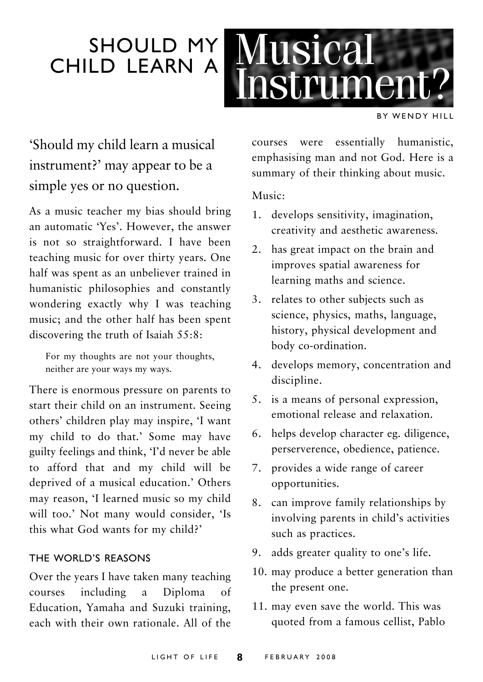### SHOULD MY CHILD LEARN A



BY WENDY HILL

### 'Should my child learn a musical instrument?' may appear to be a simple yes or no question.

As a music teacher my bias should bring an automatic 'Yes'. However, the answer is not so straightforward. I have been teaching music for over thirty years. One half was spent as an unbeliever trained in humanistic philosophies and constantly wondering exactly why I was teaching music; and the other half has been spent discovering the truth of Isaiah 55:8:

For my thoughts are not your thoughts, neither are your ways my ways.

There is enormous pressure on parents to start their child on an instrument. Seeing others' children play may inspire, 'I want my child to do that.' Some may have guilty feelings and think, 'I'd never be able to afford that and my child will be deprived of a musical education.' Others may reason, 'I learned music so my child will too.' Not many would consider, 'Is this what God wants for my child?'

### THE WORLD'S REASONS

Over the years I have taken many teaching courses including a Diploma of Education, Yamaha and Suzuki training, each with their own rationale. All of the

courses were essentially humanistic, emphasising man and not God. Here is a summary of their thinking about music.

#### Music:

- 1. develops sensitivity, imagination, creativity and aesthetic awareness.
- 2. has great impact on the brain and improves spatial awareness for learning maths and science.
- 3. relates to other subjects such as science, physics, maths, language, history, physical development and body co-ordination.
- 4. develops memory, concentration and discipline.
- 5. is a means of personal expression, emotional release and relaxation.
- 6. helps develop character eg. diligence, perserverence, obedience, patience.
- 7. provides a wide range of career opportunities.
- 8. can improve family relationships by involving parents in child's activities such as practices.
- 9. adds greater quality to one's life.
- 10. may produce a better generation than the present one.
- 11. may even save the world. This was quoted from a famous cellist, Pablo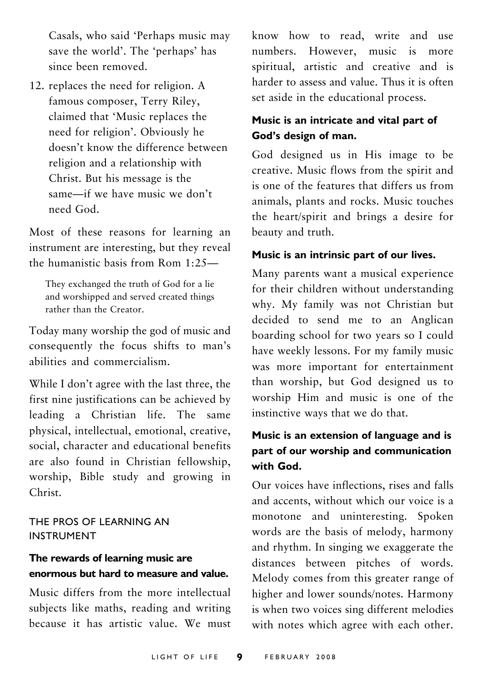Casals, who said 'Perhaps music may save the world'. The 'perhaps' has since been removed.

12. replaces the need for religion. A famous composer, Terry Riley, claimed that 'Music replaces the need for religion'. Obviously he doesn't know the difference between religion and a relationship with Christ. But his message is the same—if we have music we don't need God.

Most of these reasons for learning an instrument are interesting, but they reveal the humanistic basis from Rom 1:25—

They exchanged the truth of God for a lie and worshipped and served created things rather than the Creator.

Today many worship the god of music and consequently the focus shifts to man's abilities and commercialism.

While I don't agree with the last three, the first nine justifications can be achieved by leading a Christian life. The same physical, intellectual, emotional, creative, social, character and educational benefits are also found in Christian fellowship, worship, Bible study and growing in Christ.

THE PROS OF LEARNING AN INSTRUMENT

### **The rewards of learning music are enormous but hard to measure and value.**

Music differs from the more intellectual subjects like maths, reading and writing because it has artistic value. We must

know how to read, write and use numbers. However, music is more spiritual, artistic and creative and is harder to assess and value. Thus it is often set aside in the educational process.

### **Music is an intricate and vital part of God's design of man.**

God designed us in His image to be creative. Music flows from the spirit and is one of the features that differs us from animals, plants and rocks. Music touches the heart/spirit and brings a desire for beauty and truth.

#### **Music is an intrinsic part of our lives.**

Many parents want a musical experience for their children without understanding why. My family was not Christian but decided to send me to an Anglican boarding school for two years so I could have weekly lessons. For my family music was more important for entertainment than worship, but God designed us to worship Him and music is one of the instinctive ways that we do that.

### **Music is an extension of language and is part of our worship and communication with God.**

Our voices have inflections, rises and falls and accents, without which our voice is a monotone and uninteresting. Spoken words are the basis of melody, harmony and rhythm. In singing we exaggerate the distances between pitches of words. Melody comes from this greater range of higher and lower sounds/notes. Harmony is when two voices sing different melodies with notes which agree with each other.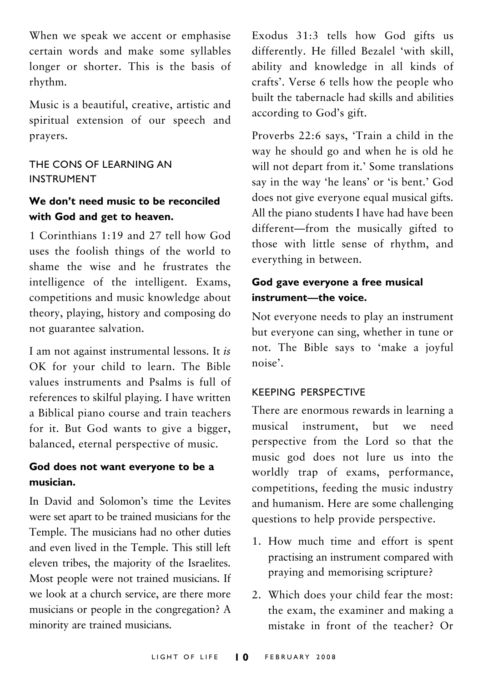When we speak we accent or emphasise certain words and make some syllables longer or shorter. This is the basis of rhythm.

Music is a beautiful, creative, artistic and spiritual extension of our speech and prayers.

### THE CONS OF LEARNING AN INSTRUMENT

### **We don't need music to be reconciled with God and get to heaven.**

1 Corinthians 1:19 and 27 tell how God uses the foolish things of the world to shame the wise and he frustrates the intelligence of the intelligent. Exams, competitions and music knowledge about theory, playing, history and composing do not guarantee salvation.

I am not against instrumental lessons. It *is* OK for your child to learn. The Bible values instruments and Psalms is full of references to skilful playing. I have written a Biblical piano course and train teachers for it. But God wants to give a bigger, balanced, eternal perspective of music.

### **God does not want everyone to be a musician.**

In David and Solomon's time the Levites were set apart to be trained musicians for the Temple. The musicians had no other duties and even lived in the Temple. This still left eleven tribes, the majority of the Israelites. Most people were not trained musicians. If we look at a church service, are there more musicians or people in the congregation? A minority are trained musicians.

Exodus 31:3 tells how God gifts us differently. He filled Bezalel 'with skill, ability and knowledge in all kinds of crafts'. Verse 6 tells how the people who built the tabernacle had skills and abilities according to God's gift.

Proverbs 22:6 says, 'Train a child in the way he should go and when he is old he will not depart from it.' Some translations say in the way 'he leans' or 'is bent.' God does not give everyone equal musical gifts. All the piano students I have had have been different—from the musically gifted to those with little sense of rhythm, and everything in between.

### **God gave everyone a free musical instrument—the voice.**

Not everyone needs to play an instrument but everyone can sing, whether in tune or not. The Bible says to 'make a joyful noise'.

#### KEEPING PERSPECTIVE

There are enormous rewards in learning a musical instrument, but we need perspective from the Lord so that the music god does not lure us into the worldly trap of exams, performance, competitions, feeding the music industry and humanism. Here are some challenging questions to help provide perspective.

- 1. How much time and effort is spent practising an instrument compared with praying and memorising scripture?
- 2. Which does your child fear the most: the exam, the examiner and making a mistake in front of the teacher? Or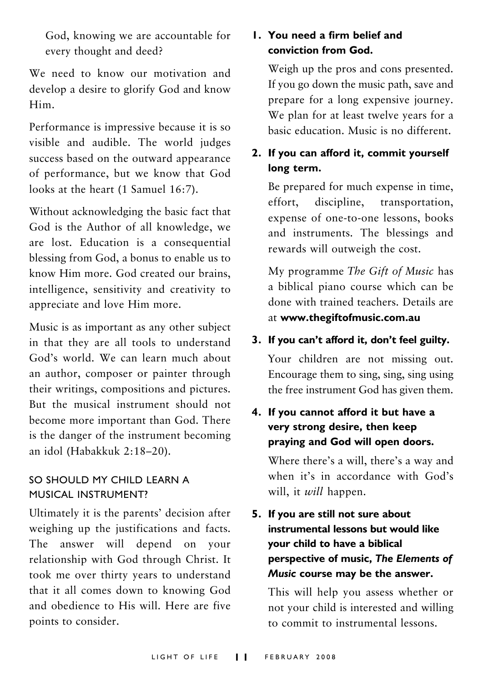God, knowing we are accountable for every thought and deed?

We need to know our motivation and develop a desire to glorify God and know Him.

Performance is impressive because it is so visible and audible. The world judges success based on the outward appearance of performance, but we know that God looks at the heart (1 Samuel 16:7).

Without acknowledging the basic fact that God is the Author of all knowledge, we are lost. Education is a consequential blessing from God, a bonus to enable us to know Him more. God created our brains, intelligence, sensitivity and creativity to appreciate and love Him more.

Music is as important as any other subject in that they are all tools to understand God's world. We can learn much about an author, composer or painter through their writings, compositions and pictures. But the musical instrument should not become more important than God. There is the danger of the instrument becoming an idol (Habakkuk 2:18–20).

### SO SHOULD MY CHILD LEARN A MUSICAL INSTRUMENT?

Ultimately it is the parents' decision after weighing up the justifications and facts. The answer will depend on your relationship with God through Christ. It took me over thirty years to understand that it all comes down to knowing God and obedience to His will. Here are five points to consider.

### **1. You need a firm belief and conviction from God.**

Weigh up the pros and cons presented. If you go down the music path, save and prepare for a long expensive journey. We plan for at least twelve years for a basic education. Music is no different.

### **2. If you can afford it, commit yourself long term.**

Be prepared for much expense in time, effort, discipline, transportation, expense of one-to-one lessons, books and instruments. The blessings and rewards will outweigh the cost.

My programme *The Gift of Music* has a biblical piano course which can be done with trained teachers. Details are at **www.thegiftofmusic.com.au**

### **3. If you can't afford it, don't feel guilty.**

Your children are not missing out. Encourage them to sing, sing, sing using the free instrument God has given them.

### **4. If you cannot afford it but have a very strong desire, then keep praying and God will open doors.**

Where there's a will, there's a way and when it's in accordance with God's will, it *will* happen.

**5. If you are still not sure about instrumental lessons but would like your child to have a biblical perspective of music,** *The Elements of Music* **course may be the answer.**

This will help you assess whether or not your child is interested and willing to commit to instrumental lessons.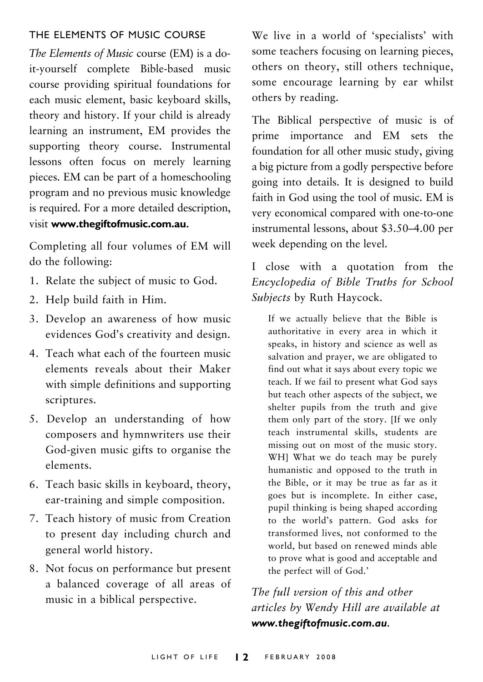#### THE ELEMENTS OF MUSIC COURSE

*The Elements of Music* course (EM) is a doit-yourself complete Bible-based music course providing spiritual foundations for each music element, basic keyboard skills, theory and history. If your child is already learning an instrument, EM provides the supporting theory course. Instrumental lessons often focus on merely learning pieces. EM can be part of a homeschooling program and no previous music knowledge is required. For a more detailed description, visit **www.thegiftofmusic.com.au.**

Completing all four volumes of EM will do the following:

- 1. Relate the subject of music to God.
- 2. Help build faith in Him.
- 3. Develop an awareness of how music evidences God's creativity and design.
- 4. Teach what each of the fourteen music elements reveals about their Maker with simple definitions and supporting scriptures.
- 5. Develop an understanding of how composers and hymnwriters use their God-given music gifts to organise the elements.
- 6. Teach basic skills in keyboard, theory, ear-training and simple composition.
- 7. Teach history of music from Creation to present day including church and general world history.
- 8. Not focus on performance but present a balanced coverage of all areas of music in a biblical perspective.

We live in a world of 'specialists' with some teachers focusing on learning pieces, others on theory, still others technique, some encourage learning by ear whilst others by reading.

The Biblical perspective of music is of prime importance and EM sets the foundation for all other music study, giving a big picture from a godly perspective before going into details. It is designed to build faith in God using the tool of music. EM is very economical compared with one-to-one instrumental lessons, about \$3.50–4.00 per week depending on the level.

### I close with a quotation from the *Encyclopedia of Bible Truths for School Subjects* by Ruth Haycock.

If we actually believe that the Bible is authoritative in every area in which it speaks, in history and science as well as salvation and prayer, we are obligated to find out what it says about every topic we teach. If we fail to present what God says but teach other aspects of the subject, we shelter pupils from the truth and give them only part of the story. [If we only teach instrumental skills, students are missing out on most of the music story. WH] What we do teach may be purely humanistic and opposed to the truth in the Bible, or it may be true as far as it goes but is incomplete. In either case, pupil thinking is being shaped according to the world's pattern. God asks for transformed lives, not conformed to the world, but based on renewed minds able to prove what is good and acceptable and the perfect will of God.'

*The full version of this and other articles by Wendy Hill are available at www.thegiftofmusic.com.au.*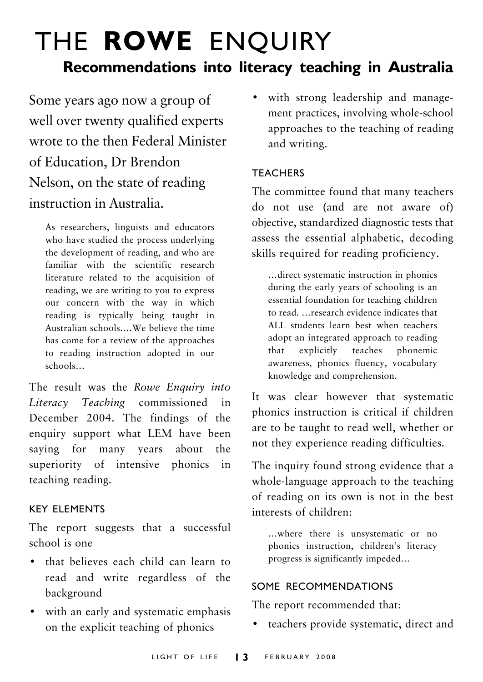## THE **ROWE** ENQUIRY **Recommendations into literacy teaching in Australia**

Some years ago now a group of well over twenty qualified experts wrote to the then Federal Minister of Education, Dr Brendon Nelson, on the state of reading instruction in Australia.

As researchers, linguists and educators who have studied the process underlying the development of reading, and who are familiar with the scientific research literature related to the acquisition of reading, we are writing to you to express our concern with the way in which reading is typically being taught in Australian schools.…We believe the time has come for a review of the approaches to reading instruction adopted in our schools…

The result was the *Rowe Enquiry into Literacy Teaching* commissioned in December 2004. The findings of the enquiry support what LEM have been saying for many years about the superiority of intensive phonics in teaching reading.

#### KEY ELEMENTS

The report suggests that a successful school is one

- that believes each child can learn to read and write regardless of the background
- with an early and systematic emphasis on the explicit teaching of phonics

• with strong leadership and management practices, involving whole-school approaches to the teaching of reading and writing.

### **TEACHERS**

The committee found that many teachers do not use (and are not aware of) objective, standardized diagnostic tests that assess the essential alphabetic, decoding skills required for reading proficiency.

…direct systematic instruction in phonics during the early years of schooling is an essential foundation for teaching children to read. …research evidence indicates that ALL students learn best when teachers adopt an integrated approach to reading that explicitly teaches phonemic awareness, phonics fluency, vocabulary knowledge and comprehension.

It was clear however that systematic phonics instruction is critical if children are to be taught to read well, whether or not they experience reading difficulties.

The inquiry found strong evidence that a whole-language approach to the teaching of reading on its own is not in the best interests of children:

…where there is unsystematic or no phonics instruction, children's literacy progress is significantly impeded…

#### SOME RECOMMENDATIONS

The report recommended that:

• teachers provide systematic, direct and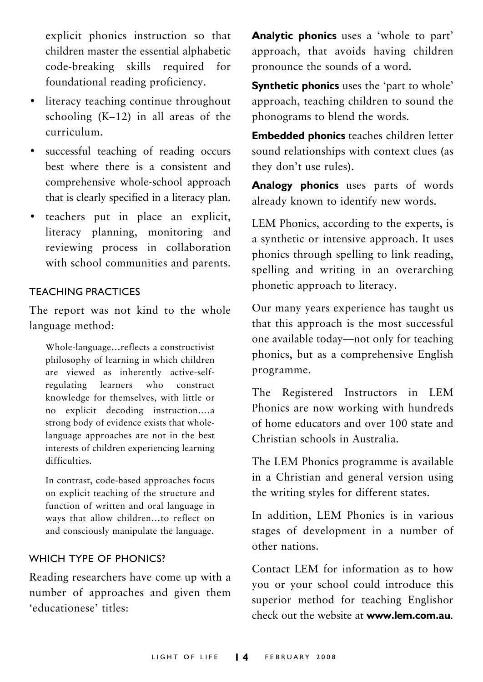explicit phonics instruction so that children master the essential alphabetic code-breaking skills required for foundational reading proficiency.

- literacy teaching continue throughout schooling (K–12) in all areas of the curriculum.
- successful teaching of reading occurs best where there is a consistent and comprehensive whole-school approach that is clearly specified in a literacy plan.
- teachers put in place an explicit, literacy planning, monitoring and reviewing process in collaboration with school communities and parents.

#### TEACHING PRACTICES

The report was not kind to the whole language method:

Whole-language…reflects a constructivist philosophy of learning in which children are viewed as inherently active-selfregulating learners who construct knowledge for themselves, with little or no explicit decoding instruction.…a strong body of evidence exists that wholelanguage approaches are not in the best interests of children experiencing learning difficulties.

In contrast, code-based approaches focus on explicit teaching of the structure and function of written and oral language in ways that allow children…to reflect on and consciously manipulate the language.

#### WHICH TYPE OF PHONICS?

Reading researchers have come up with a number of approaches and given them 'educationese' titles:

**Analytic phonics** uses a 'whole to part' approach, that avoids having children pronounce the sounds of a word.

**Synthetic phonics** uses the 'part to whole' approach, teaching children to sound the phonograms to blend the words.

**Embedded phonics** teaches children letter sound relationships with context clues (as they don't use rules).

**Analogy phonics** uses parts of words already known to identify new words.

LEM Phonics, according to the experts, is a synthetic or intensive approach. It uses phonics through spelling to link reading, spelling and writing in an overarching phonetic approach to literacy.

Our many years experience has taught us that this approach is the most successful one available today—not only for teaching phonics, but as a comprehensive English programme.

The Registered Instructors in LEM Phonics are now working with hundreds of home educators and over 100 state and Christian schools in Australia.

The LEM Phonics programme is available in a Christian and general version using the writing styles for different states.

In addition, LEM Phonics is in various stages of development in a number of other nations.

Contact LEM for information as to how you or your school could introduce this superior method for teaching Englishor check out the website at **www.lem.com.au**.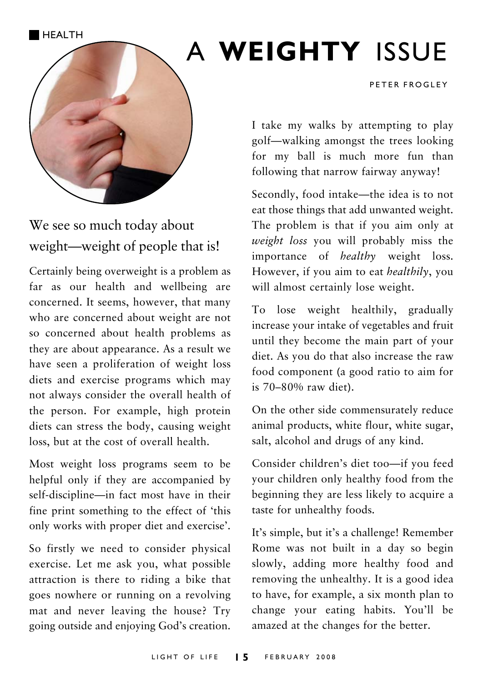HEALTH



### We see so much today about weight—weight of people that is!

Certainly being overweight is a problem as far as our health and wellbeing are concerned. It seems, however, that many who are concerned about weight are not so concerned about health problems as they are about appearance. As a result we have seen a proliferation of weight loss diets and exercise programs which may not always consider the overall health of the person. For example, high protein diets can stress the body, causing weight loss, but at the cost of overall health.

Most weight loss programs seem to be helpful only if they are accompanied by self-discipline—in fact most have in their fine print something to the effect of 'this only works with proper diet and exercise'.

So firstly we need to consider physical exercise. Let me ask you, what possible attraction is there to riding a bike that goes nowhere or running on a revolving mat and never leaving the house? Try going outside and enjoying God's creation.

## A **WEIGHTY** ISSUE

PETER FROGLEY

I take my walks by attempting to play golf—walking amongst the trees looking for my ball is much more fun than following that narrow fairway anyway!

Secondly, food intake—the idea is to not eat those things that add unwanted weight. The problem is that if you aim only at *weight loss* you will probably miss the importance of *healthy* weight loss. However, if you aim to eat *healthily*, you will almost certainly lose weight.

To lose weight healthily, gradually increase your intake of vegetables and fruit until they become the main part of your diet. As you do that also increase the raw food component (a good ratio to aim for is 70–80% raw diet).

On the other side commensurately reduce animal products, white flour, white sugar, salt, alcohol and drugs of any kind.

Consider children's diet too—if you feed your children only healthy food from the beginning they are less likely to acquire a taste for unhealthy foods.

It's simple, but it's a challenge! Remember Rome was not built in a day so begin slowly, adding more healthy food and removing the unhealthy. It is a good idea to have, for example, a six month plan to change your eating habits. You'll be amazed at the changes for the better.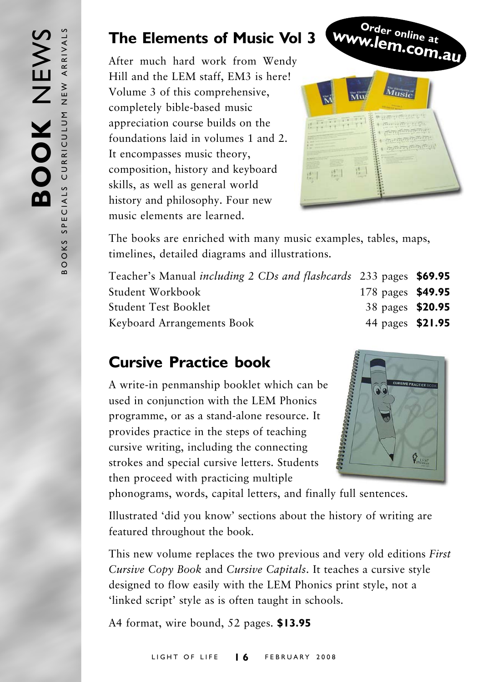### **The Elements of Music Vol 3**

After much hard work from Wendy Hill and the LEM staff, EM3 is here! Volume 3 of this comprehensive, completely bible-based music appreciation course builds on the foundations laid in volumes 1 and 2. It encompasses music theory, composition, history and keyboard skills, as well as general world history and philosophy. Four new music elements are learned.



The books are enriched with many music examples, tables, maps, timelines, detailed diagrams and illustrations.

| Teacher's Manual <i>including 2 CDs and flashcards</i> 233 pages <b>\$69.95</b> |                   |  |
|---------------------------------------------------------------------------------|-------------------|--|
| Student Workbook                                                                | 178 pages \$49.95 |  |
| Student Test Booklet                                                            | 38 pages \$20.95  |  |
| Keyboard Arrangements Book                                                      | 44 pages \$21.95  |  |

### **Cursive Practice book**

A write-in penmanship booklet which can be used in conjunction with the LEM Phonics programme, or as a stand-alone resource. It provides practice in the steps of teaching cursive writing, including the connecting strokes and special cursive letters. Students then proceed with practicing multiple



phonograms, words, capital letters, and finally full sentences.

Illustrated 'did you know' sections about the history of writing are featured throughout the book.

This new volume replaces the two previous and very old editions *First Cursive Copy Book* and *Cursive Capitals*. It teaches a cursive style designed to flow easily with the LEM Phonics print style, not a 'linked script' style as is often taught in schools.

A4 format, wire bound, 52 pages. **\$13.95**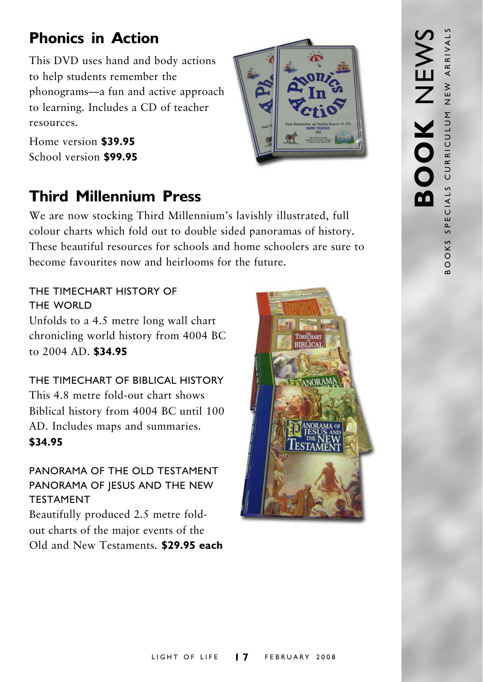### **Phonics in Action**

This DVD uses hand and body actions to help students remember the phonograms—a fun and active approach to learning. Includes a CD of teacher resources.

Home version **\$39.95** School version **\$99.95**

### **Third Millennium Press**

We are now stocking Third Millennium's lavishly illustrated, full colour charts which fold out to double sided panoramas of history*.* These beautiful resources for schools and home schoolers are sure to become favourites now and heirlooms for the future.

THE TIMECHART HISTORY OF THE WORLD Unfolds to a 4.5 metre long wall chart chronicling world history from 4004 BC to 2004 AD. **\$34.95**

THE TIMECHART OF BIBLICAL HISTORY This 4.8 metre fold-out chart shows Biblical history from 4004 BC until 100 AD. Includes maps and summaries. **\$34.95**

### PANORAMA OF THE OLD TESTAMENT PANORAMA OF JESUS AND THE NEW TESTAMENT

Beautifully produced 2.5 metre foldout charts of the major events of the Old and New Testaments. **\$29.95 each**



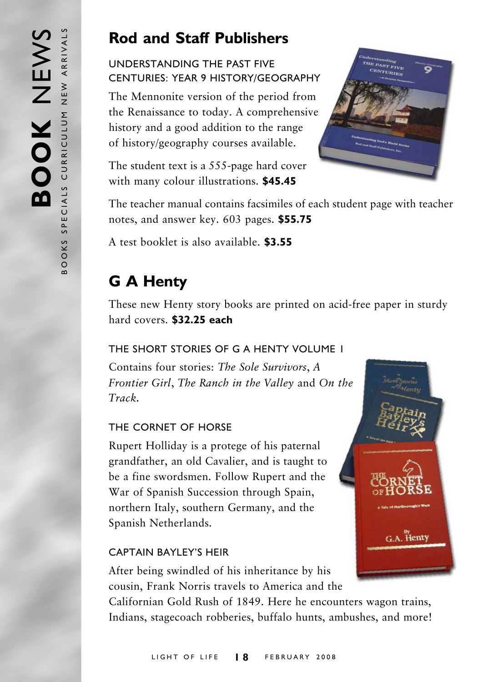### **Rod and Staff Publishers**

### UNDERSTANDING THE PAST FIVE CENTURIES: YEAR 9 HISTORY/GEOGRAPHY

The Mennonite version of the period from the Renaissance to today. A comprehensive history and a good addition to the range of history/geography courses available.

The student text is a 555-page hard cover with many colour illustrations. **\$45.45**



The teacher manual contains facsimiles of each student page with teacher notes, and answer key. 603 pages. **\$55.75**

A test booklet is also available. **\$3.55**

### **G A Henty**

These new Henty story books are printed on acid-free paper in sturdy hard covers. **\$32.25 each**

### THE SHORT STORIES OF G A HENTY VOLUME 1

Contains four stories: *The Sole Survivors*, *A Frontier Girl*, *The Ranch in the Valley* and *On the Track.*

### THE CORNET OF HORSE

Rupert Holliday is a protege of his paternal grandfather, an old Cavalier, and is taught to be a fine swordsmen. Follow Rupert and the War of Spanish Succession through Spain, northern Italy, southern Germany, and the Spanish Netherlands.

### CAPTAIN BAYLEY'S HEIR

After being swindled of his inheritance by his cousin, Frank Norris travels to America and the

Californian Gold Rush of 1849. Here he encounters wagon trains, Indians, stagecoach robberies, buffalo hunts, ambushes, and more!

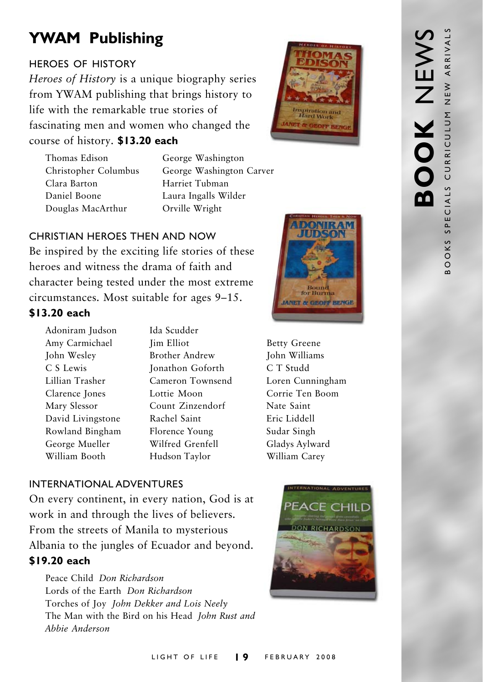### **YWAM Publishing**

### HEROES OF HISTORY

*Heroes of History* is a unique biography series from YWAM publishing that brings history to life with the remarkable true stories of fascinating men and women who changed the course of history. **\$13.20 each**



Thomas Edison George Washington Clara Barton Harriet Tubman Daniel Boone Laura Ingalls Wilder Douglas MacArthur Orville Wright

Christopher Columbus George Washington Carver

### CHRISTIAN HEROES THEN AND NOW

Be inspired by the exciting life stories of these heroes and witness the drama of faith and character being tested under the most extreme circumstances. Most suitable for ages 9–15.

### **\$13.20 each**

- Adoniram Judson Ida Scudder Amy Carmichael Jim Elliot Betty Greene John Wesley Brother Andrew John Williams C S Lewis Jonathon Goforth C T Studd Lillian Trasher Cameron Townsend Loren Cunningham Clarence Jones Lottie Moon Corrie Ten Boom Mary Slessor Count Zinzendorf Nate Saint David Livingstone Rachel Saint Eric Liddell Rowland Bingham Florence Young Sudar Singh George Mueller Wilfred Grenfell Gladys Aylward William Booth Hudson Taylor William Carey
- 



### INTERNATIONAL ADVENTURES

On every continent, in every nation, God is at work in and through the lives of believers. From the streets of Manila to mysterious Albania to the jungles of Ecuador and beyond. **\$19.20 each**

Peace Child *Don Richardson* Lords of the Earth *Don Richardson* Torches of Joy *John Dekker and Lois Neely* The Man with the Bird on his Head *John Rust and Abbie Anderson*

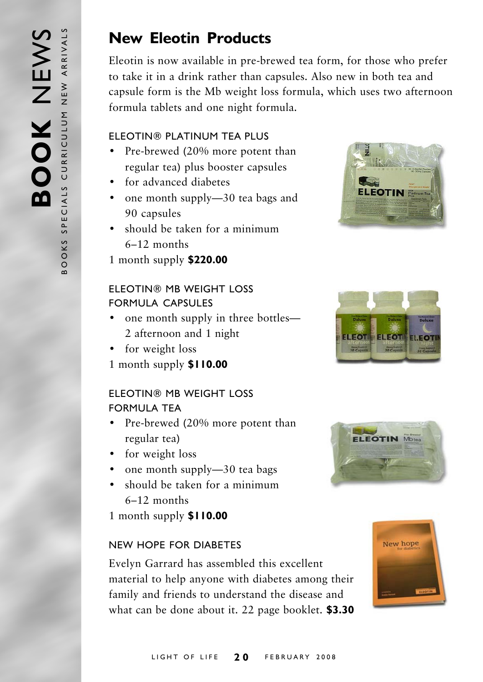### **New Eleotin Products**

Eleotin is now available in pre-brewed tea form, for those who prefer to take it in a drink rather than capsules. Also new in both tea and capsule form is the Mb weight loss formula, which uses two afternoon formula tablets and one night formula.

### ELEOTIN® PLATINUM TEA PLUS

- Pre-brewed (20% more potent than regular tea) plus booster capsules
- for advanced diabetes
- one month supply—30 tea bags and 90 capsules
- should be taken for a minimum 6–12 months
- 1 month supply **\$220.00**

### ELEOTIN® MB WEIGHT LOSS FORMULA CAPSULES

- one month supply in three bottles— 2 afternoon and 1 night
- for weight loss
- 1 month supply **\$110.00**

### ELEOTIN® MB WEIGHT LOSS FORMULA TEA

- Pre-brewed (20% more potent than regular tea)
- for weight loss
- one month supply-30 tea bags
- should be taken for a minimum 6–12 months
- 1 month supply **\$110.00**

### NEW HOPE FOR DIABETES

Evelyn Garrard has assembled this excellent material to help anyone with diabetes among their family and friends to understand the disease and what can be done about it. 22 page booklet. **\$3.30**







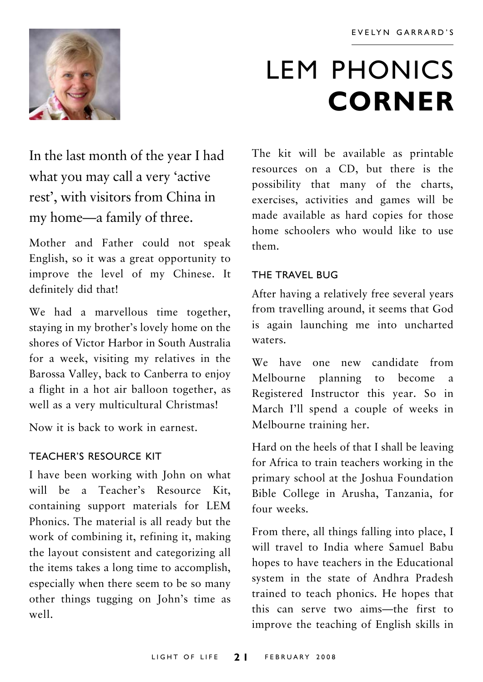

## LEM PHONICS **CORNER**

In the last month of the year I had what you may call a very 'active rest', with visitors from China in my home—a family of three.

Mother and Father could not speak English, so it was a great opportunity to improve the level of my Chinese. It definitely did that!

We had a marvellous time together, staying in my brother's lovely home on the shores of Victor Harbor in South Australia for a week, visiting my relatives in the Barossa Valley, back to Canberra to enjoy a flight in a hot air balloon together, as well as a very multicultural Christmas!

Now it is back to work in earnest.

### TEACHER'S RESOURCE KIT

I have been working with John on what will be a Teacher's Resource Kit, containing support materials for LEM Phonics. The material is all ready but the work of combining it, refining it, making the layout consistent and categorizing all the items takes a long time to accomplish, especially when there seem to be so many other things tugging on John's time as well.

The kit will be available as printable resources on a CD, but there is the possibility that many of the charts, exercises, activities and games will be made available as hard copies for those home schoolers who would like to use them.

### THE TRAVEL BUG

After having a relatively free several years from travelling around, it seems that God is again launching me into uncharted waters.

We have one new candidate from Melbourne planning to become a Registered Instructor this year. So in March I'll spend a couple of weeks in Melbourne training her.

Hard on the heels of that I shall be leaving for Africa to train teachers working in the primary school at the Joshua Foundation Bible College in Arusha, Tanzania, for four weeks.

From there, all things falling into place, I will travel to India where Samuel Babu hopes to have teachers in the Educational system in the state of Andhra Pradesh trained to teach phonics. He hopes that this can serve two aims—the first to improve the teaching of English skills in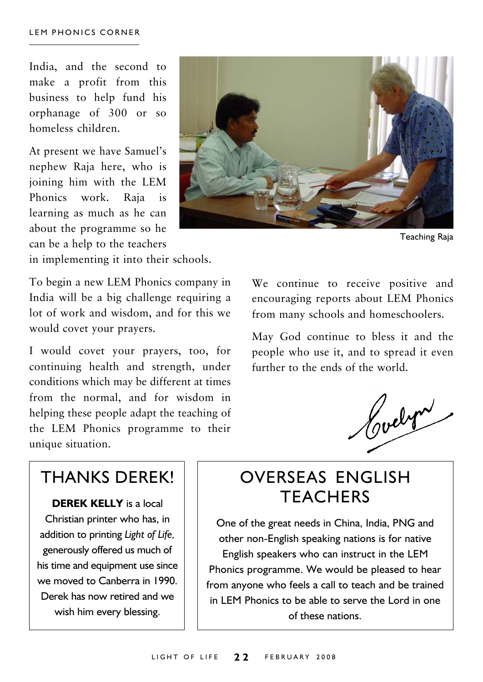India, and the second to make a profit from this business to help fund his orphanage of 300 or so homeless children.

At present we have Samuel's nephew Raja here, who is joining him with the LEM Phonics work. Raja is learning as much as he can about the programme so he can be a help to the teachers

in implementing it into their schools.

To begin a new LEM Phonics company in India will be a big challenge requiring a lot of work and wisdom, and for this we would covet your prayers.

I would covet your prayers, too, for continuing health and strength, under conditions which may be different at times from the normal, and for wisdom in helping these people adapt the teaching of the LEM Phonics programme to their unique situation.



Teaching Raja

We continue to receive positive and encouraging reports about LEM Phonics from many schools and homeschoolers.

May God continue to bless it and the people who use it, and to spread it even further to the ends of the world.

Cochra

### THANKS DEREK!

**DEREK KELLY** is a local Christian printer who has, in addition to printing *Light of Life,* generously offered us much of his time and equipment use since we moved to Canberra in 1990. Derek has now retired and we wish him every blessing.

### OVERSEAS ENGLISH **TFACHERS**

One of the great needs in China, India, PNG and other non-English speaking nations is for native English speakers who can instruct in the LEM Phonics programme. We would be pleased to hear from anyone who feels a call to teach and be trained in LEM Phonics to be able to serve the Lord in one of these nations.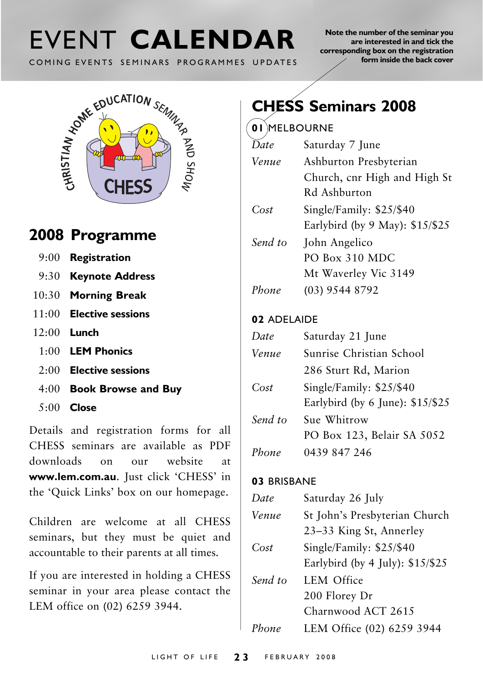# COMING EVENTS SEMINARS PROGRAMMES UPDATES

**Note the number of the seminar you are interested in and tick the corresponding box on the registration form inside the back cover**



### **2008 Programme**

- 9:00 **Registration**
- 9:30 **Keynote Address**
- 10:30 **Morning Break**
- 11:00 **Elective sessions**
- 12:00 **Lunch**
	- 1:00 **LEM Phonics**
	- 2:00 **Elective sessions**
	- 4:00 **Book Browse and Buy**
	- 5:00 **Close**

Details and registration forms for all CHESS seminars are available as PDF downloads on our website at **www.lem.com.au**. Just click 'CHESS' in the 'Quick Links' box on our homepage.

Children are welcome at all CHESS seminars, but they must be quiet and accountable to their parents at all times.

If you are interested in holding a CHESS seminar in your area please contact the LEM office on (02) 6259 3944.

### **CHESS Seminars 2008**

### **01** MELBOURNE

| Date    | Saturday 7 June                 |
|---------|---------------------------------|
| Venue   | Ashburton Presbyterian          |
|         | Church, cnr High and High St    |
|         | Rd Ashburton                    |
| Cost    | Single/Family: $$25/$40$        |
|         | Earlybird (by 9 May): \$15/\$25 |
| Send to | John Angelico                   |
|         | PO Box 310 MDC                  |
|         | Mt Waverley Vic 3149            |
| Phone   | $(03)$ 9544 8792                |
|         |                                 |

### **02** ADELAIDE

| Date    | Saturday 21 June                  |
|---------|-----------------------------------|
| Venue   | Sunrise Christian School          |
|         | 286 Sturt Rd, Marion              |
| Cost    | Single/Family: \$25/\$40          |
|         | Earlybird (by 6 June): $$15/\$25$ |
| Send to | Sue Whitrow                       |
|         | PO Box 123, Belair SA 5052        |
| Phone   | 0439 847 246                      |

#### **03** BRISBANE

| Date    | Saturday 26 July                                                |
|---------|-----------------------------------------------------------------|
| Venue   | St John's Presbyterian Church<br>23-33 King St, Annerley        |
| Cost    | Single/Family: \$25/\$40<br>Earlybird (by $4$ July): $$15/\$25$ |
| Send to | <b>LEM Office</b><br>200 Florey Dr<br>Charnwood ACT 2615        |
| Phone   | LEM Office (02) 6259 3944                                       |